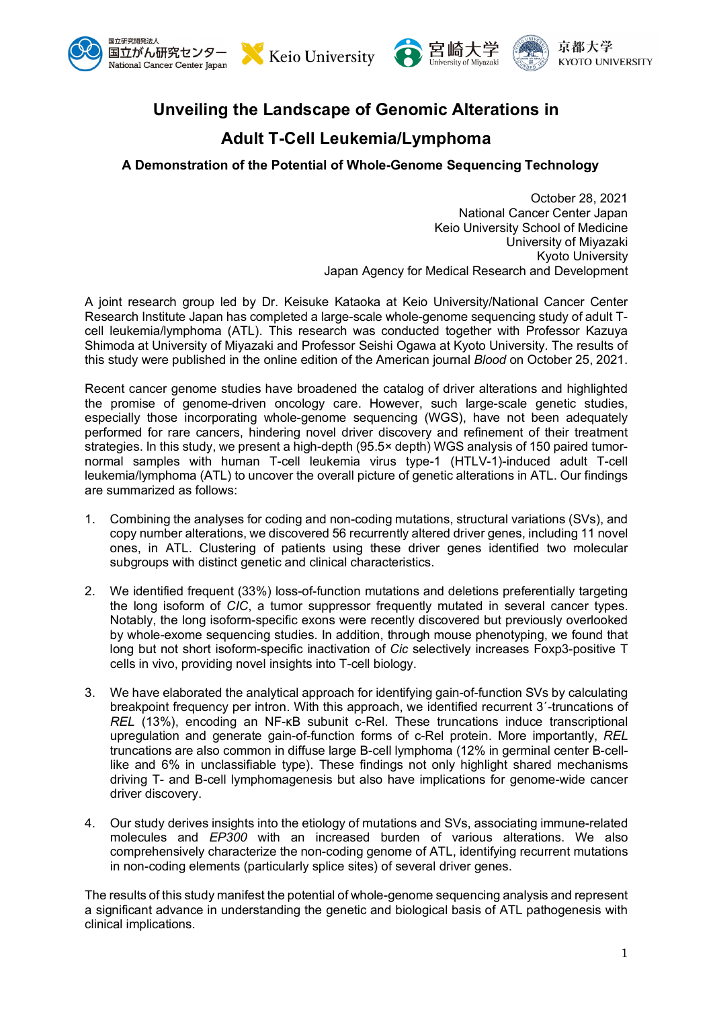





## **Unveiling the Landscape of Genomic Alterations in**

## **Adult T-Cell Leukemia/Lymphoma**

**A Demonstration of the Potential of Whole-Genome Sequencing Technology**

October 28, 2021 National Cancer Center Japan Keio University School of Medicine University of Miyazaki Kyoto University Japan Agency for Medical Research and Development

A joint research group led by Dr. Keisuke Kataoka at Keio University/National Cancer Center Research Institute Japan has completed a large-scale whole-genome sequencing study of adult Tcell leukemia/lymphoma (ATL). This research was conducted together with Professor Kazuya Shimoda at University of Miyazaki and Professor Seishi Ogawa at Kyoto University. The results of this study were published in the online edition of the American journal *Blood* on October 25, 2021.

Recent cancer genome studies have broadened the catalog of driver alterations and highlighted the promise of genome-driven oncology care. However, such large-scale genetic studies, especially those incorporating whole-genome sequencing (WGS), have not been adequately performed for rare cancers, hindering novel driver discovery and refinement of their treatment strategies. In this study, we present a high-depth (95.5× depth) WGS analysis of 150 paired tumornormal samples with human T-cell leukemia virus type-1 (HTLV-1)-induced adult T-cell leukemia/lymphoma (ATL) to uncover the overall picture of genetic alterations in ATL. Our findings are summarized as follows:

- 1. Combining the analyses for coding and non-coding mutations, structural variations (SVs), and copy number alterations, we discovered 56 recurrently altered driver genes, including 11 novel ones, in ATL. Clustering of patients using these driver genes identified two molecular subgroups with distinct genetic and clinical characteristics.
- 2. We identified frequent (33%) loss-of-function mutations and deletions preferentially targeting the long isoform of *CIC*, a tumor suppressor frequently mutated in several cancer types. Notably, the long isoform-specific exons were recently discovered but previously overlooked by whole-exome sequencing studies. In addition, through mouse phenotyping, we found that long but not short isoform-specific inactivation of *Cic* selectively increases Foxp3-positive T cells in vivo, providing novel insights into T-cell biology.
- 3. We have elaborated the analytical approach for identifying gain-of-function SVs by calculating breakpoint frequency per intron. With this approach, we identified recurrent 3´-truncations of *REL* (13%), encoding an NF-κB subunit c-Rel. These truncations induce transcriptional upregulation and generate gain-of-function forms of c-Rel protein. More importantly, *REL* truncations are also common in diffuse large B-cell lymphoma (12% in germinal center B-celllike and 6% in unclassifiable type). These findings not only highlight shared mechanisms driving T- and B-cell lymphomagenesis but also have implications for genome-wide cancer driver discovery.
- 4. Our study derives insights into the etiology of mutations and SVs, associating immune-related molecules and *EP300* with an increased burden of various alterations. We also comprehensively characterize the non-coding genome of ATL, identifying recurrent mutations in non-coding elements (particularly splice sites) of several driver genes.

The results of this study manifest the potential of whole-genome sequencing analysis and represent a significant advance in understanding the genetic and biological basis of ATL pathogenesis with clinical implications.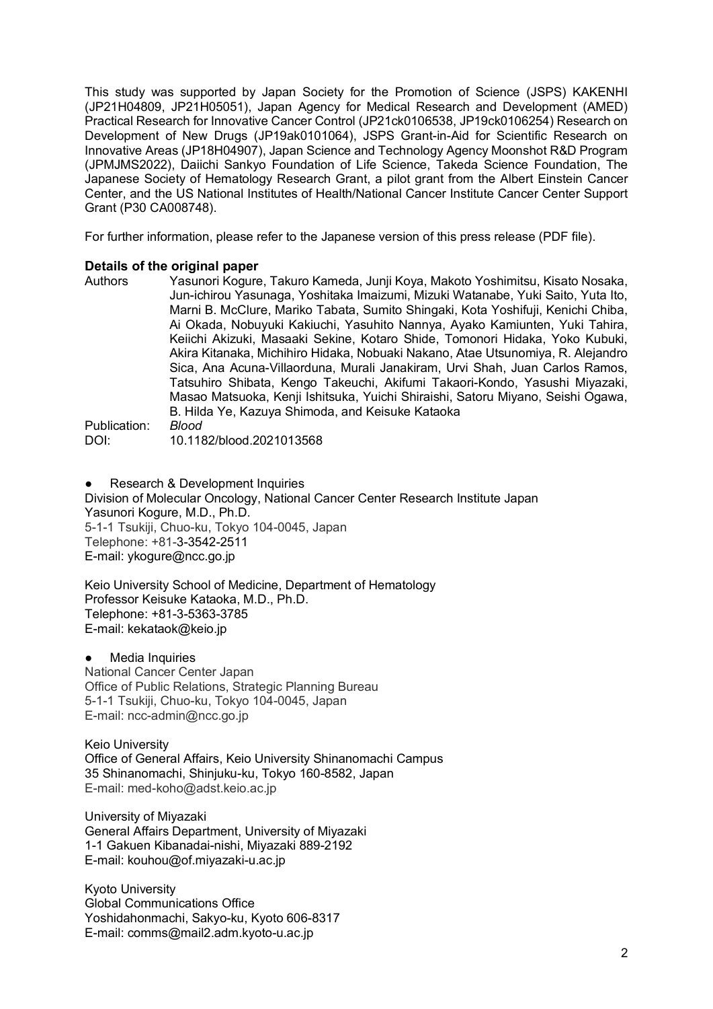This study was supported by Japan Society for the Promotion of Science (JSPS) KAKENHI (JP21H04809, JP21H05051), Japan Agency for Medical Research and Development (AMED) Practical Research for Innovative Cancer Control (JP21ck0106538, JP19ck0106254) Research on Development of New Drugs (JP19ak0101064), JSPS Grant-in-Aid for Scientific Research on Innovative Areas (JP18H04907), Japan Science and Technology Agency Moonshot R&D Program (JPMJMS2022), Daiichi Sankyo Foundation of Life Science, Takeda Science Foundation, The Japanese Society of Hematology Research Grant, a pilot grant from the Albert Einstein Cancer Center, and the US National Institutes of Health/National Cancer Institute Cancer Center Support Grant (P30 CA008748).

For further information, please refer to the Japanese version of this press release (PDF file).

## **Details of the original paper**<br>Authors Yasunori Kogure

- Yasunori Kogure, Takuro Kameda, Junji Koya, Makoto Yoshimitsu, Kisato Nosaka, Jun-ichirou Yasunaga, Yoshitaka Imaizumi, Mizuki Watanabe, Yuki Saito, Yuta Ito, Marni B. McClure, Mariko Tabata, Sumito Shingaki, Kota Yoshifuji, Kenichi Chiba, Ai Okada, Nobuyuki Kakiuchi, Yasuhito Nannya, Ayako Kamiunten, Yuki Tahira, Keiichi Akizuki, Masaaki Sekine, Kotaro Shide, Tomonori Hidaka, Yoko Kubuki, Akira Kitanaka, Michihiro Hidaka, Nobuaki Nakano, Atae Utsunomiya, R. Alejandro Sica, Ana Acuna-Villaorduna, Murali Janakiram, Urvi Shah, Juan Carlos Ramos, Tatsuhiro Shibata, Kengo Takeuchi, Akifumi Takaori-Kondo, Yasushi Miyazaki, Masao Matsuoka, Kenji Ishitsuka, Yuichi Shiraishi, Satoru Miyano, Seishi Ogawa, B. Hilda Ye, Kazuya Shimoda, and Keisuke Kataoka<br>*Blood* Publication: DOI: 10.1182/blood.2021013568
- **Research & Development Inquiries** Division of Molecular Oncology, National Cancer Center Research Institute Japan Yasunori Kogure, M.D., Ph.D. 5-1-1 Tsukiji, Chuo-ku, Tokyo 104-0045, Japan Telephone: +81-3-3542-2511 E-mail: ykogure@ncc.go.jp

Keio University School of Medicine, Department of Hematology Professor Keisuke Kataoka, M.D., Ph.D. Telephone: +81-3-5363-3785 E-mail: kekataok@keio.jp

**Media Inquiries** 

National Cancer Center Japan Office of Public Relations, Strategic Planning Bureau 5-1-1 Tsukiji, Chuo-ku, Tokyo 104-0045, Japan E-mail: ncc-admin@ncc.go.jp

Keio University Office of General Affairs, Keio University Shinanomachi Campus 35 Shinanomachi, Shinjuku-ku, Tokyo 160-8582, Japan E-mail: med-koho@adst.keio.ac.jp

University of Miyazaki General Affairs Department, University of Miyazaki 1-1 Gakuen Kibanadai-nishi, Miyazaki 889-2192 E-mail: kouhou@of.miyazaki-u.ac.jp

Kyoto University Global Communications Office Yoshidahonmachi, Sakyo-ku, Kyoto 606-8317 E-mail: comms@mail2.adm.kyoto-u.ac.jp